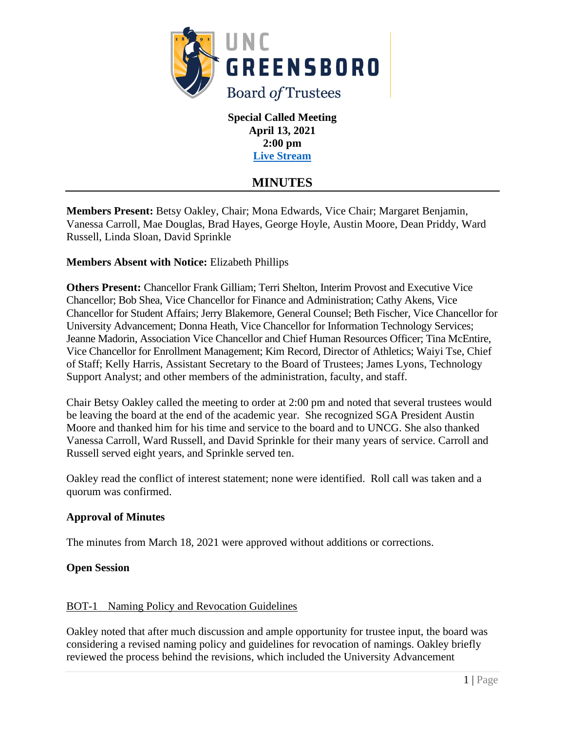

**Special Called Meeting April 13, 2021 2:00 pm [Live Stream](https://go.uncg.edu/bot-livestream)**

# **MINUTES**

**Members Present:** Betsy Oakley, Chair; Mona Edwards, Vice Chair; Margaret Benjamin, Vanessa Carroll, Mae Douglas, Brad Hayes, George Hoyle, Austin Moore, Dean Priddy, Ward Russell, Linda Sloan, David Sprinkle

# **Members Absent with Notice:** Elizabeth Phillips

**Others Present:** Chancellor Frank Gilliam; Terri Shelton, Interim Provost and Executive Vice Chancellor; Bob Shea, Vice Chancellor for Finance and Administration; Cathy Akens, Vice Chancellor for Student Affairs; Jerry Blakemore, General Counsel; Beth Fischer, Vice Chancellor for University Advancement; Donna Heath, Vice Chancellor for Information Technology Services; Jeanne Madorin, Association Vice Chancellor and Chief Human Resources Officer; Tina McEntire, Vice Chancellor for Enrollment Management; Kim Record, Director of Athletics; Waiyi Tse, Chief of Staff; Kelly Harris, Assistant Secretary to the Board of Trustees; James Lyons, Technology Support Analyst; and other members of the administration, faculty, and staff.

Chair Betsy Oakley called the meeting to order at 2:00 pm and noted that several trustees would be leaving the board at the end of the academic year. She recognized SGA President Austin Moore and thanked him for his time and service to the board and to UNCG. She also thanked Vanessa Carroll, Ward Russell, and David Sprinkle for their many years of service. Carroll and Russell served eight years, and Sprinkle served ten.

Oakley read the conflict of interest statement; none were identified. Roll call was taken and a quorum was confirmed.

## **Approval of Minutes**

The minutes from March 18, 2021 were approved without additions or corrections.

## **Open Session**

# BOT-1 Naming Policy and Revocation Guidelines

Oakley noted that after much discussion and ample opportunity for trustee input, the board was considering a revised naming policy and guidelines for revocation of namings. Oakley briefly reviewed the process behind the revisions, which included the University Advancement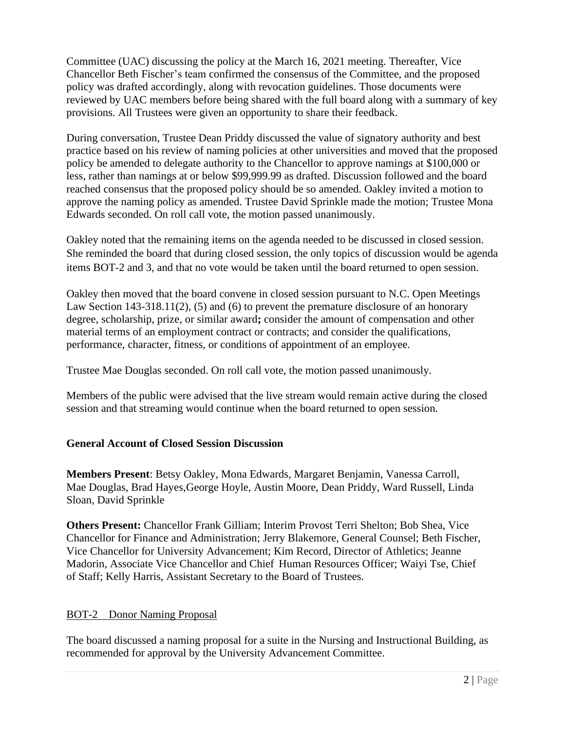Committee (UAC) discussing the policy at the March 16, 2021 meeting. Thereafter, Vice Chancellor Beth Fischer's team confirmed the consensus of the Committee, and the proposed policy was drafted accordingly, along with revocation guidelines. Those documents were reviewed by UAC members before being shared with the full board along with a summary of key provisions. All Trustees were given an opportunity to share their feedback.

During conversation, Trustee Dean Priddy discussed the value of signatory authority and best practice based on his review of naming policies at other universities and moved that the proposed policy be amended to delegate authority to the Chancellor to approve namings at \$100,000 or less, rather than namings at or below \$99,999.99 as drafted. Discussion followed and the board reached consensus that the proposed policy should be so amended. Oakley invited a motion to approve the naming policy as amended. Trustee David Sprinkle made the motion; Trustee Mona Edwards seconded. On roll call vote, the motion passed unanimously.

Oakley noted that the remaining items on the agenda needed to be discussed in closed session. She reminded the board that during closed session, the only topics of discussion would be agenda items BOT-2 and 3, and that no vote would be taken until the board returned to open session.

Oakley then moved that the board convene in closed session pursuant to N.C. Open Meetings Law Section 143-318.11(2), (5) and (6) to prevent the premature disclosure of an honorary degree, scholarship, prize, or similar award**;** consider the amount of compensation and other material terms of an employment contract or contracts; and consider the qualifications, performance, character, fitness, or conditions of appointment of an employee.

Trustee Mae Douglas seconded. On roll call vote, the motion passed unanimously.

Members of the public were advised that the live stream would remain active during the closed session and that streaming would continue when the board returned to open session.

## **General Account of Closed Session Discussion**

**Members Present**: Betsy Oakley, Mona Edwards, Margaret Benjamin, Vanessa Carroll, Mae Douglas, Brad Hayes,George Hoyle, Austin Moore, Dean Priddy, Ward Russell, Linda Sloan, David Sprinkle

**Others Present:** Chancellor Frank Gilliam; Interim Provost Terri Shelton; Bob Shea, Vice Chancellor for Finance and Administration; Jerry Blakemore, General Counsel; Beth Fischer, Vice Chancellor for University Advancement; Kim Record, Director of Athletics; Jeanne Madorin, Associate Vice Chancellor and Chief Human Resources Officer; Waiyi Tse, Chief of Staff; Kelly Harris, Assistant Secretary to the Board of Trustees.

# BOT-2 Donor Naming Proposal

The board discussed a naming proposal for a suite in the Nursing and Instructional Building, as recommended for approval by the University Advancement Committee.